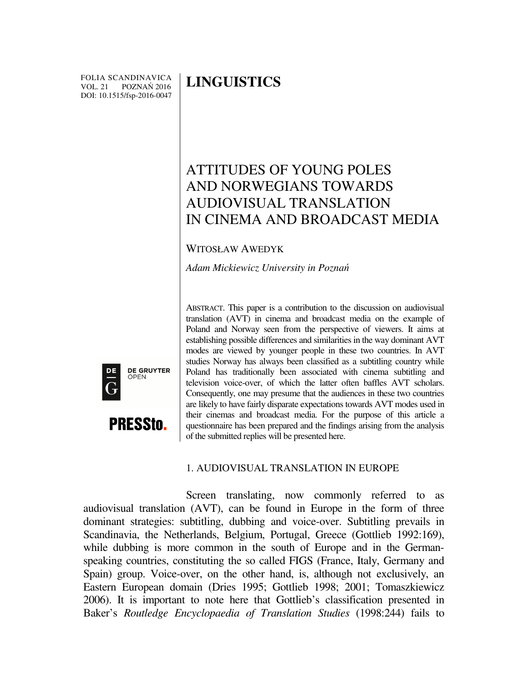FOLIA SCANDINAVICA VOL. 21 POZNAŃ 2016 DOI: 10.1515/fsp-2016-0047

# **LINGUISTICS**

# ATTITUDES OF YOUNG POLES AND NORWEGIANS TOWARDS AUDIOVISUAL TRANSLATION IN CINEMA AND BROADCAST MEDIA

## WITOSŁAW AWEDYK

*Adam Mickiewicz University in Poznań*



ABSTRACT. This paper is a contribution to the discussion on audiovisual translation (AVT) in cinema and broadcast media on the example of Poland and Norway seen from the perspective of viewers. It aims at establishing possible differences and similarities in the way dominant AVT modes are viewed by younger people in these two countries. In AVT studies Norway has always been classified as a subtitling country while Poland has traditionally been associated with cinema subtitling and television voice-over, of which the latter often baffles AVT scholars. Consequently, one may presume that the audiences in these two countries are likely to have fairly disparate expectations towards AVT modes used in their cinemas and broadcast media. For the purpose of this article a questionnaire has been prepared and the findings arising from the analysis of the submitted replies will be presented here.

## 1. AUDIOVISUAL TRANSLATION IN EUROPE

Screen translating, now commonly referred to as audiovisual translation (AVT), can be found in Europe in the form of three dominant strategies: subtitling, dubbing and voice-over. Subtitling prevails in Scandinavia, the Netherlands, Belgium, Portugal, Greece (Gottlieb 1992:169), while dubbing is more common in the south of Europe and in the Germanspeaking countries, constituting the so called FIGS (France, Italy, Germany and Spain) group. Voice-over, on the other hand, is, although not exclusively, an Eastern European domain (Dries 1995; Gottlieb 1998; 2001; Tomaszkiewicz 2006). It is important to note here that Gottlieb's classification presented in Baker's *Routledge Encyclopaedia of Translation Studies* (1998:244) fails to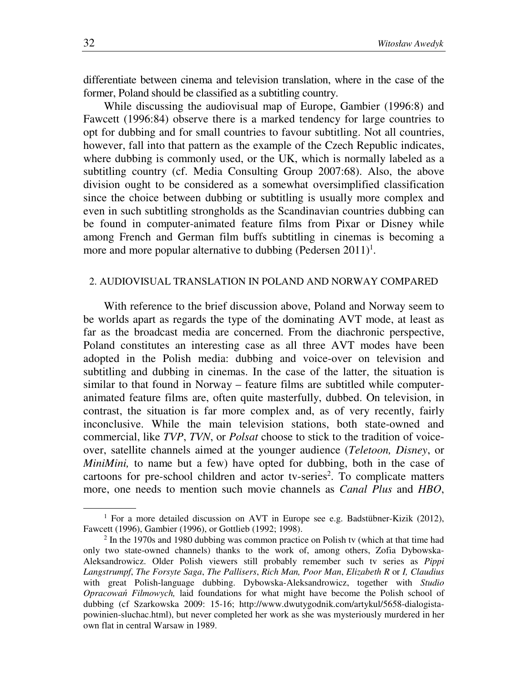differentiate between cinema and television translation, where in the case of the former, Poland should be classified as a subtitling country.

While discussing the audiovisual map of Europe, Gambier (1996:8) and Fawcett (1996:84) observe there is a marked tendency for large countries to opt for dubbing and for small countries to favour subtitling. Not all countries, however, fall into that pattern as the example of the Czech Republic indicates, where dubbing is commonly used, or the UK, which is normally labeled as a subtitling country (cf. Media Consulting Group 2007:68). Also, the above division ought to be considered as a somewhat oversimplified classification since the choice between dubbing or subtitling is usually more complex and even in such subtitling strongholds as the Scandinavian countries dubbing can be found in computer-animated feature films from Pixar or Disney while among French and German film buffs subtitling in cinemas is becoming a more and more popular alternative to dubbing (Pedersen  $2011$ )<sup>1</sup>.

### 2. AUDIOVISUAL TRANSLATION IN POLAND AND NORWAY COMPARED

With reference to the brief discussion above, Poland and Norway seem to be worlds apart as regards the type of the dominating AVT mode, at least as far as the broadcast media are concerned. From the diachronic perspective, Poland constitutes an interesting case as all three AVT modes have been adopted in the Polish media: dubbing and voice-over on television and subtitling and dubbing in cinemas. In the case of the latter, the situation is similar to that found in Norway – feature films are subtitled while computeranimated feature films are, often quite masterfully, dubbed. On television, in contrast, the situation is far more complex and, as of very recently, fairly inconclusive. While the main television stations, both state-owned and commercial, like *TVP*, *TVN*, or *Polsat* choose to stick to the tradition of voiceover, satellite channels aimed at the younger audience (*Teletoon, Disney*, or *MiniMini*, to name but a few) have opted for dubbing, both in the case of cartoons for pre-school children and actor tv-series 2 . To complicate matters more, one needs to mention such movie channels as *Canal Plus* and *HBO*,

<sup>&</sup>lt;sup>1</sup> For a more detailed discussion on AVT in Europe see e.g. Badstübner-Kizik (2012), Fawcett (1996), Gambier (1996), or Gottlieb (1992; 1998).

<sup>&</sup>lt;sup>2</sup> In the 1970s and 1980 dubbing was common practice on Polish tv (which at that time had only two state-owned channels) thanks to the work of, among others, Zofia Dybowska-Aleksandrowicz. Older Polish viewers still probably remember such tv series as *Pippi Langstrumpf*, *The Forsyte Saga*, *The Pallisers*, *Rich Man, Poor Man*, *Elizabeth R* or *I, Claudius* with great Polish-language dubbing. Dybowska-Aleksandrowicz, together with *Studio Opracowań Filmowych,* laid foundations for what might have become the Polish school of dubbing (cf Szarkowska 2009: 15-16; http://www.dwutygodnik.com/artykul/5658-dialogistapowinien-sluchac.html), but never completed her work as she was mysteriously murdered in her own flat in central Warsaw in 1989.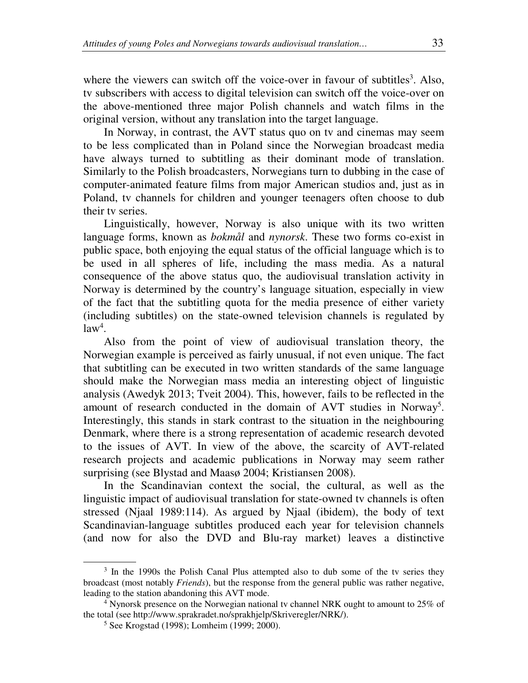where the viewers can switch off the voice-over in favour of subtitles<sup>3</sup>. Also, tv subscribers with access to digital television can switch off the voice-over on the above-mentioned three major Polish channels and watch films in the original version, without any translation into the target language.

In Norway, in contrast, the AVT status quo on tv and cinemas may seem to be less complicated than in Poland since the Norwegian broadcast media have always turned to subtitling as their dominant mode of translation. Similarly to the Polish broadcasters, Norwegians turn to dubbing in the case of computer-animated feature films from major American studios and, just as in Poland, tv channels for children and younger teenagers often choose to dub their tv series.

Linguistically, however, Norway is also unique with its two written language forms, known as *bokmål* and *nynorsk*. These two forms co-exist in public space, both enjoying the equal status of the official language which is to be used in all spheres of life, including the mass media. As a natural consequence of the above status quo, the audiovisual translation activity in Norway is determined by the country's language situation, especially in view of the fact that the subtitling quota for the media presence of either variety (including subtitles) on the state-owned television channels is regulated by  $law<sup>4</sup>$ .

Also from the point of view of audiovisual translation theory, the Norwegian example is perceived as fairly unusual, if not even unique. The fact that subtitling can be executed in two written standards of the same language should make the Norwegian mass media an interesting object of linguistic analysis (Awedyk 2013; Tveit 2004). This, however, fails to be reflected in the amount of research conducted in the domain of AVT studies in Norway<sup>5</sup>. Interestingly, this stands in stark contrast to the situation in the neighbouring Denmark, where there is a strong representation of academic research devoted to the issues of AVT. In view of the above, the scarcity of AVT-related research projects and academic publications in Norway may seem rather surprising (see Blystad and Maasø 2004; Kristiansen 2008).

In the Scandinavian context the social, the cultural, as well as the linguistic impact of audiovisual translation for state-owned tv channels is often stressed (Njaal 1989:114). As argued by Njaal (ibidem), the body of text Scandinavian-language subtitles produced each year for television channels (and now for also the DVD and Blu-ray market) leaves a distinctive

<sup>&</sup>lt;sup>3</sup> In the 1990s the Polish Canal Plus attempted also to dub some of the tv series they broadcast (most notably *Friends*), but the response from the general public was rather negative, leading to the station abandoning this AVT mode.

<sup>&</sup>lt;sup>4</sup> Nynorsk presence on the Norwegian national tv channel NRK ought to amount to 25% of the total (see http://www.sprakradet.no/sprakhjelp/Skriveregler/NRK/).

<sup>5</sup> See Krogstad (1998); Lomheim (1999; 2000).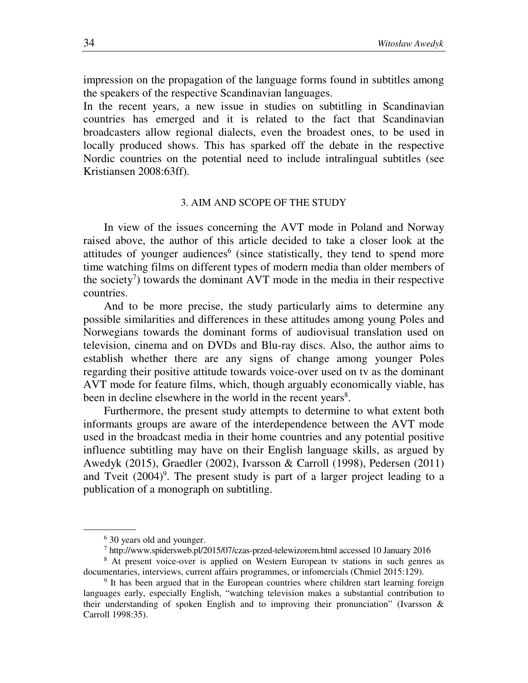impression on the propagation of the language forms found in subtitles among the speakers of the respective Scandinavian languages.

In the recent years, a new issue in studies on subtitling in Scandinavian countries has emerged and it is related to the fact that Scandinavian broadcasters allow regional dialects, even the broadest ones, to be used in locally produced shows. This has sparked off the debate in the respective Nordic countries on the potential need to include intralingual subtitles (see Kristiansen 2008:63ff).

#### 3. AIM AND SCOPE OF THE STUDY

In view of the issues concerning the AVT mode in Poland and Norway raised above, the author of this article decided to take a closer look at the attitudes of younger audiences<sup>6</sup> (since statistically, they tend to spend more time watching films on different types of modern media than older members of the society<sup>7</sup>) towards the dominant AVT mode in the media in their respective countries.

And to be more precise, the study particularly aims to determine any possible similarities and differences in these attitudes among young Poles and Norwegians towards the dominant forms of audiovisual translation used on television, cinema and on DVDs and Blu-ray discs. Also, the author aims to establish whether there are any signs of change among younger Poles regarding their positive attitude towards voice-over used on tv as the dominant AVT mode for feature films, which, though arguably economically viable, has been in decline elsewhere in the world in the recent years<sup>8</sup>.

Furthermore, the present study attempts to determine to what extent both informants groups are aware of the interdependence between the AVT mode used in the broadcast media in their home countries and any potential positive influence subtitling may have on their English language skills, as argued by Awedyk (2015), Graedler (2002), Ivarsson & Carroll (1998), Pedersen (2011) and Tveit  $(2004)^9$ . The present study is part of a larger project leading to a publication of a monograph on subtitling.

<sup>6</sup> 30 years old and younger.

<sup>7</sup> http://www.spidersweb.pl/2015/07/czas-przed-telewizorem.html accessed 10 January 2016

<sup>&</sup>lt;sup>8</sup> At present voice-over is applied on Western European tv stations in such genres as documentaries, interviews, current affairs programmes, or infomercials (Chmiel 2015:129).

<sup>&</sup>lt;sup>9</sup> It has been argued that in the European countries where children start learning foreign languages early, especially English, "watching television makes a substantial contribution to their understanding of spoken English and to improving their pronunciation" (Ivarsson & Carroll 1998:35).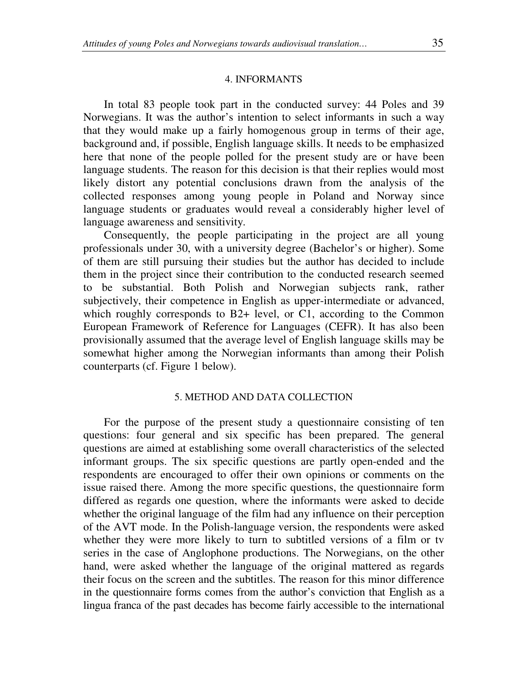#### 4. INFORMANTS

In total 83 people took part in the conducted survey: 44 Poles and 39 Norwegians. It was the author's intention to select informants in such a way that they would make up a fairly homogenous group in terms of their age, background and, if possible, English language skills. It needs to be emphasized here that none of the people polled for the present study are or have been language students. The reason for this decision is that their replies would most likely distort any potential conclusions drawn from the analysis of the collected responses among young people in Poland and Norway since language students or graduates would reveal a considerably higher level of language awareness and sensitivity.

Consequently, the people participating in the project are all young professionals under 30, with a university degree (Bachelor's or higher). Some of them are still pursuing their studies but the author has decided to include them in the project since their contribution to the conducted research seemed to be substantial. Both Polish and Norwegian subjects rank, rather subjectively, their competence in English as upper-intermediate or advanced, which roughly corresponds to B2+ level, or C1, according to the Common European Framework of Reference for Languages (CEFR). It has also been provisionally assumed that the average level of English language skills may be somewhat higher among the Norwegian informants than among their Polish counterparts (cf. Figure 1 below).

## 5. METHOD AND DATA COLLECTION

For the purpose of the present study a questionnaire consisting of ten questions: four general and six specific has been prepared. The general questions are aimed at establishing some overall characteristics of the selected informant groups. The six specific questions are partly open-ended and the respondents are encouraged to offer their own opinions or comments on the issue raised there. Among the more specific questions, the questionnaire form differed as regards one question, where the informants were asked to decide whether the original language of the film had any influence on their perception of the AVT mode. In the Polish-language version, the respondents were asked whether they were more likely to turn to subtitled versions of a film or tv series in the case of Anglophone productions. The Norwegians, on the other hand, were asked whether the language of the original mattered as regards their focus on the screen and the subtitles. The reason for this minor difference in the questionnaire forms comes from the author's conviction that English as a lingua franca of the past decades has become fairly accessible to the international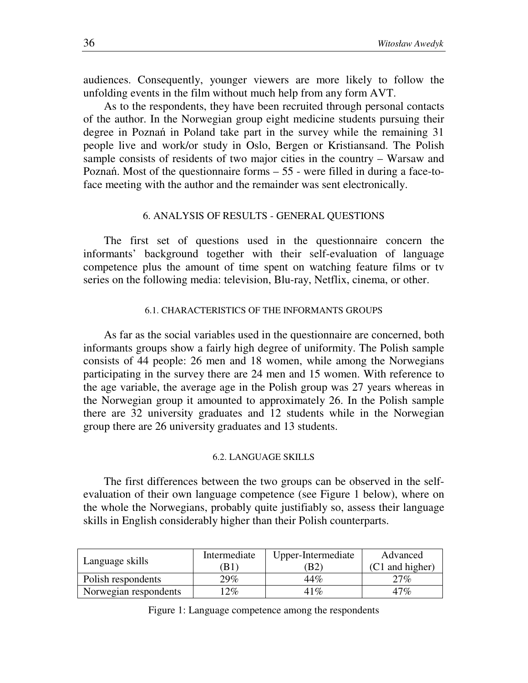audiences. Consequently, younger viewers are more likely to follow the unfolding events in the film without much help from any form AVT.

As to the respondents, they have been recruited through personal contacts of the author. In the Norwegian group eight medicine students pursuing their degree in Poznań in Poland take part in the survey while the remaining 31 people live and work/or study in Oslo, Bergen or Kristiansand. The Polish sample consists of residents of two major cities in the country – Warsaw and Poznań. Most of the questionnaire forms – 55 - were filled in during a face-toface meeting with the author and the remainder was sent electronically.

#### 6. ANALYSIS OF RESULTS - GENERAL QUESTIONS

The first set of questions used in the questionnaire concern the informants' background together with their self-evaluation of language competence plus the amount of time spent on watching feature films or tv series on the following media: television, Blu-ray, Netflix, cinema, or other.

## 6.1. CHARACTERISTICS OF THE INFORMANTS GROUPS

As far as the social variables used in the questionnaire are concerned, both informants groups show a fairly high degree of uniformity. The Polish sample consists of 44 people: 26 men and 18 women, while among the Norwegians participating in the survey there are 24 men and 15 women. With reference to the age variable, the average age in the Polish group was 27 years whereas in the Norwegian group it amounted to approximately 26. In the Polish sample there are 32 university graduates and 12 students while in the Norwegian group there are 26 university graduates and 13 students.

#### 6.2. LANGUAGE SKILLS

The first differences between the two groups can be observed in the selfevaluation of their own language competence (see Figure 1 below), where on the whole the Norwegians, probably quite justifiably so, assess their language skills in English considerably higher than their Polish counterparts.

|                       | Intermediate | Upper-Intermediate | Advanced        |
|-----------------------|--------------|--------------------|-----------------|
| Language skills       | ΈB1          | B2                 | (C1 and higher) |
| Polish respondents    | 29%          | 44%                | $27\%$          |
| Norwegian respondents | $2\%$        | 41%                | $47\%$          |

Figure 1: Language competence among the respondents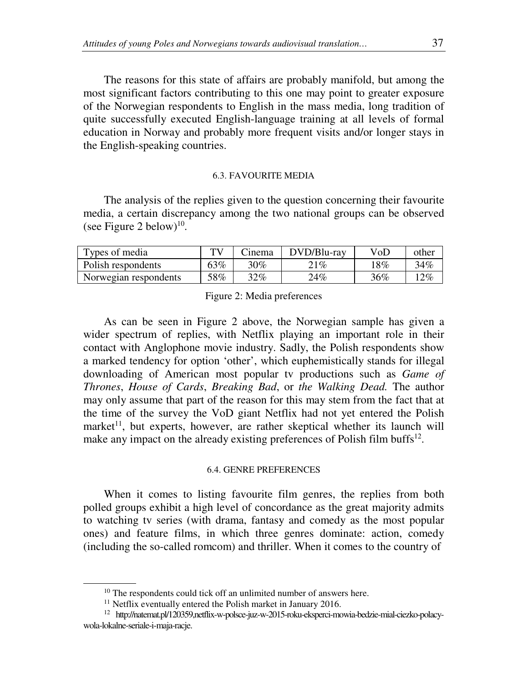The reasons for this state of affairs are probably manifold, but among the most significant factors contributing to this one may point to greater exposure of the Norwegian respondents to English in the mass media, long tradition of quite successfully executed English-language training at all levels of formal education in Norway and probably more frequent visits and/or longer stays in the English-speaking countries.

## 6.3. FAVOURITE MEDIA

The analysis of the replies given to the question concerning their favourite media, a certain discrepancy among the two national groups can be observed (see Figure 2 below) $10$ .

| Types of media        | TV  | $C$ inema | DVD/Blu-ray | VoD | other  |
|-----------------------|-----|-----------|-------------|-----|--------|
| Polish respondents    | 63% | $30\%$    | 21%         | 18% | $34\%$ |
| Norwegian respondents | 58% | $32\%$    | 24%         | 36% | $12\%$ |

Figure 2: Media preferences

As can be seen in Figure 2 above, the Norwegian sample has given a wider spectrum of replies, with Netflix playing an important role in their contact with Anglophone movie industry. Sadly, the Polish respondents show a marked tendency for option 'other', which euphemistically stands for illegal downloading of American most popular tv productions such as *Game of Thrones*, *House of Cards*, *Breaking Bad*, or *the Walking Dead.* The author may only assume that part of the reason for this may stem from the fact that at the time of the survey the VoD giant Netflix had not yet entered the Polish market<sup>11</sup>, but experts, however, are rather skeptical whether its launch will make any impact on the already existing preferences of Polish film buffs $^{12}$ .

## 6.4. GENRE PREFERENCES

When it comes to listing favourite film genres, the replies from both polled groups exhibit a high level of concordance as the great majority admits to watching tv series (with drama, fantasy and comedy as the most popular ones) and feature films, in which three genres dominate: action, comedy (including the so-called romcom) and thriller. When it comes to the country of

<sup>&</sup>lt;sup>10</sup> The respondents could tick off an unlimited number of answers here.

<sup>&</sup>lt;sup>11</sup> Netflix eventually entered the Polish market in January 2016.

<sup>12</sup> http://natemat.pl/120359,netflix-w-polsce-juz-w-2015-roku-eksperci-mowia-bedzie-mial-ciezko-polacywola-lokalne-seriale-i-maja-racje.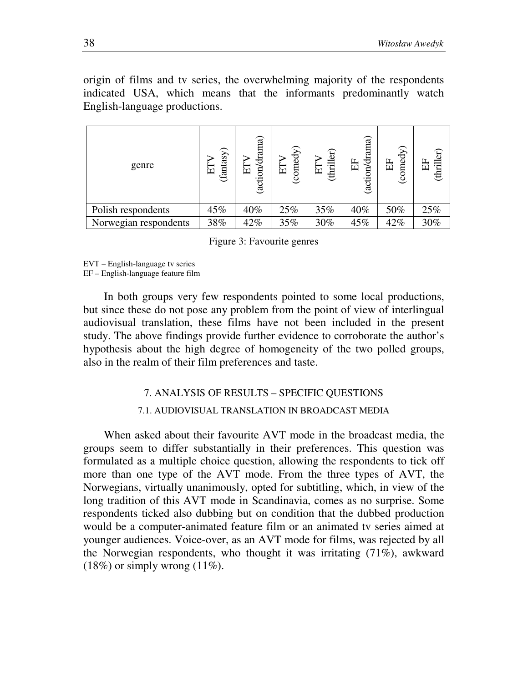origin of films and tv series, the overwhelming majority of the respondents indicated USA, which means that the informants predominantly watch English-language productions.

| genre                 | (fantasy)<br>ĒĽ) | (action/drama)<br>ப் | (comedy)<br>五 | ler)<br>(thri)<br>ដៃ | (action/drama)<br>EF | (comedy)<br>臣 | (thriller)<br>נב |
|-----------------------|------------------|----------------------|---------------|----------------------|----------------------|---------------|------------------|
| Polish respondents    | 45%              | 40%                  | 25%           | 35%                  | 40%                  | 50%           | 25%              |
| Norwegian respondents | 38%              | 42%                  | 35%           | 30%                  | 45%                  | 42%           | 30%              |

Figure 3: Favourite genres

EVT – English-language tv series

EF – English-language feature film

In both groups very few respondents pointed to some local productions, but since these do not pose any problem from the point of view of interlingual audiovisual translation, these films have not been included in the present study. The above findings provide further evidence to corroborate the author's hypothesis about the high degree of homogeneity of the two polled groups, also in the realm of their film preferences and taste.

# 7. ANALYSIS OF RESULTS – SPECIFIC QUESTIONS

## 7.1. AUDIOVISUAL TRANSLATION IN BROADCAST MEDIA

When asked about their favourite AVT mode in the broadcast media, the groups seem to differ substantially in their preferences. This question was formulated as a multiple choice question, allowing the respondents to tick off more than one type of the AVT mode. From the three types of AVT, the Norwegians, virtually unanimously, opted for subtitling, which, in view of the long tradition of this AVT mode in Scandinavia, comes as no surprise. Some respondents ticked also dubbing but on condition that the dubbed production would be a computer-animated feature film or an animated tv series aimed at younger audiences. Voice-over, as an AVT mode for films, was rejected by all the Norwegian respondents, who thought it was irritating (71%), awkward  $(18\%)$  or simply wrong  $(11\%).$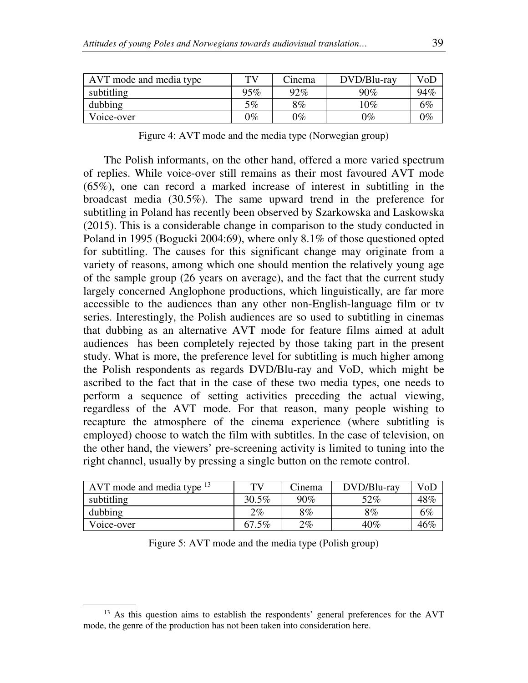| AVT mode and media type | TV    | Cinema | DVD/Blu-ray | VoD   |
|-------------------------|-------|--------|-------------|-------|
| subtitling              | 95%   | 92%    | 90%         | 94%   |
| dubbing                 | 5%    | 8%     | $10\%$      | $6\%$ |
| Voice-over              | $0\%$ | $9\%$  | 9%          | $0\%$ |

Figure 4: AVT mode and the media type (Norwegian group)

The Polish informants, on the other hand, offered a more varied spectrum of replies. While voice-over still remains as their most favoured AVT mode (65%), one can record a marked increase of interest in subtitling in the broadcast media (30.5%). The same upward trend in the preference for subtitling in Poland has recently been observed by Szarkowska and Laskowska (2015). This is a considerable change in comparison to the study conducted in Poland in 1995 (Bogucki 2004:69), where only 8.1% of those questioned opted for subtitling. The causes for this significant change may originate from a variety of reasons, among which one should mention the relatively young age of the sample group (26 years on average), and the fact that the current study largely concerned Anglophone productions, which linguistically, are far more accessible to the audiences than any other non-English-language film or tv series. Interestingly, the Polish audiences are so used to subtitling in cinemas that dubbing as an alternative AVT mode for feature films aimed at adult audiences has been completely rejected by those taking part in the present study. What is more, the preference level for subtitling is much higher among the Polish respondents as regards DVD/Blu-ray and VoD, which might be ascribed to the fact that in the case of these two media types, one needs to perform a sequence of setting activities preceding the actual viewing, regardless of the AVT mode. For that reason, many people wishing to recapture the atmosphere of the cinema experience (where subtitling is employed) choose to watch the film with subtitles. In the case of television, on the other hand, the viewers' pre-screening activity is limited to tuning into the right channel, usually by pressing a single button on the remote control.

| AVT mode and media type $^{13}$ | TV       | Cinema | DVD/Blu-ray | VoE   |
|---------------------------------|----------|--------|-------------|-------|
| subtitling                      | $30.5\%$ | 90%    | 52%         | 48%   |
| dubbing                         | $2\%$    | 8%     | $8\%$       | $6\%$ |
| Voice-over                      | 67.5%    | 2%     | 40%         | 46%   |

Figure 5: AVT mode and the media type (Polish group)

<sup>&</sup>lt;sup>13</sup> As this question aims to establish the respondents' general preferences for the AVT mode, the genre of the production has not been taken into consideration here.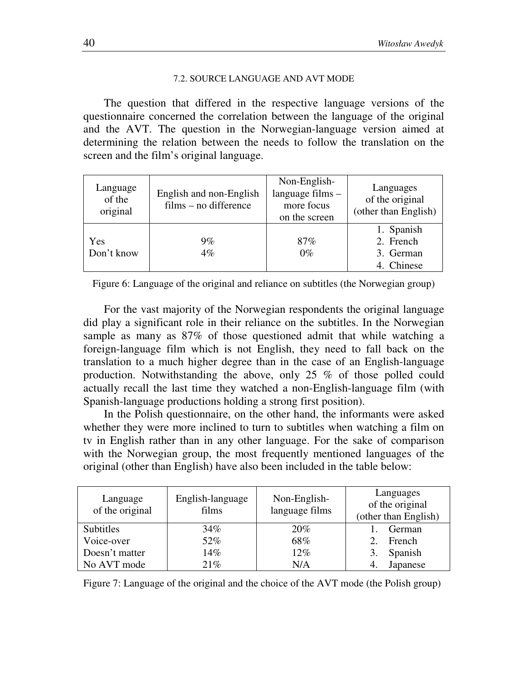#### 7.2. SOURCE LANGUAGE AND AVT MODE

The question that differed in the respective language versions of the questionnaire concerned the correlation between the language of the original and the AVT. The question in the Norwegian-language version aimed at determining the relation between the needs to follow the translation on the screen and the film's original language.

| Language<br>of the<br>original | English and non-English<br>films – no difference | Non-English-<br>language films -<br>more focus<br>on the screen | Languages<br>of the original<br>(other than English) |
|--------------------------------|--------------------------------------------------|-----------------------------------------------------------------|------------------------------------------------------|
| Yes<br>Don't know              | 9%<br>$4\%$                                      | 87%<br>$0\%$                                                    | 1. Spanish<br>2. French<br>3. German<br>4. Chinese   |

Figure 6: Language of the original and reliance on subtitles (the Norwegian group)

For the vast majority of the Norwegian respondents the original language did play a significant role in their reliance on the subtitles. In the Norwegian sample as many as 87% of those questioned admit that while watching a foreign-language film which is not English, they need to fall back on the translation to a much higher degree than in the case of an English-language production. Notwithstanding the above, only 25 % of those polled could actually recall the last time they watched a non-English-language film (with Spanish-language productions holding a strong first position).

In the Polish questionnaire, on the other hand, the informants were asked whether they were more inclined to turn to subtitles when watching a film on tv in English rather than in any other language. For the sake of comparison with the Norwegian group, the most frequently mentioned languages of the original (other than English) have also been included in the table below:

| Language<br>of the original | English-language<br>films | Non-English-<br>language films | Languages<br>of the original<br>(other than English) |
|-----------------------------|---------------------------|--------------------------------|------------------------------------------------------|
| <b>Subtitles</b>            | 34%                       | 20%                            | German                                               |
| Voice-over                  | 52%                       | 68%                            | French                                               |
| Doesn't matter              | 14%                       | $12\%$                         | Spanish                                              |
| No AVT mode                 | 21%                       | N/A                            | Japanese                                             |

Figure 7: Language of the original and the choice of the AVT mode (the Polish group)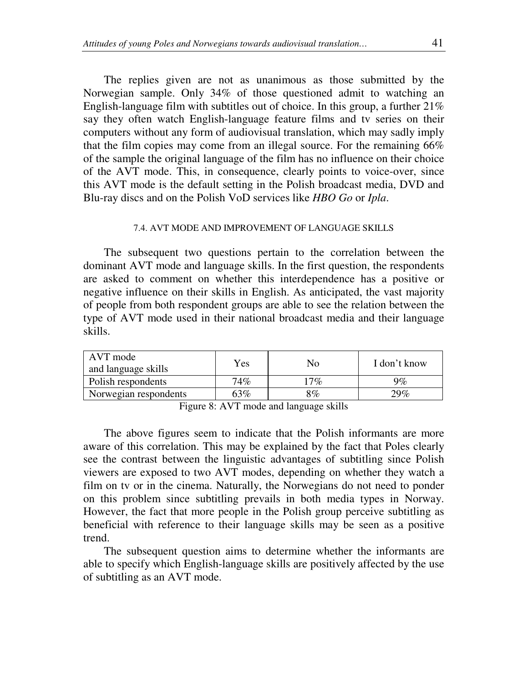The replies given are not as unanimous as those submitted by the Norwegian sample. Only 34% of those questioned admit to watching an English-language film with subtitles out of choice. In this group, a further 21% say they often watch English-language feature films and tv series on their computers without any form of audiovisual translation, which may sadly imply that the film copies may come from an illegal source. For the remaining 66% of the sample the original language of the film has no influence on their choice of the AVT mode. This, in consequence, clearly points to voice-over, since this AVT mode is the default setting in the Polish broadcast media, DVD and Blu-ray discs and on the Polish VoD services like *HBO Go* or *Ipla*.

#### 7.4. AVT MODE AND IMPROVEMENT OF LANGUAGE SKILLS

The subsequent two questions pertain to the correlation between the dominant AVT mode and language skills. In the first question, the respondents are asked to comment on whether this interdependence has a positive or negative influence on their skills in English. As anticipated, the vast majority of people from both respondent groups are able to see the relation between the type of AVT mode used in their national broadcast media and their language skills.

| AVT mode<br>and language skills | Yes | No    | I don't know |
|---------------------------------|-----|-------|--------------|
| Polish respondents              | 74% | 17%   | 9%           |
| Norwegian respondents           | 63% | $8\%$ | 29%          |

Figure 8: AVT mode and language skills

The above figures seem to indicate that the Polish informants are more aware of this correlation. This may be explained by the fact that Poles clearly see the contrast between the linguistic advantages of subtitling since Polish viewers are exposed to two AVT modes, depending on whether they watch a film on tv or in the cinema. Naturally, the Norwegians do not need to ponder on this problem since subtitling prevails in both media types in Norway. However, the fact that more people in the Polish group perceive subtitling as beneficial with reference to their language skills may be seen as a positive trend.

The subsequent question aims to determine whether the informants are able to specify which English-language skills are positively affected by the use of subtitling as an AVT mode.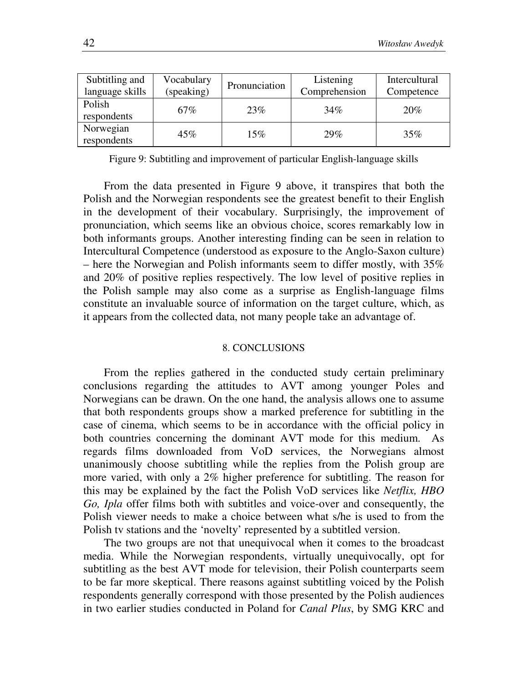| Subtitling and  | Vocabulary | Pronunciation | Listening     | Intercultural |
|-----------------|------------|---------------|---------------|---------------|
| language skills | (speaking) |               | Comprehension | Competence    |
| Polish          | 67%        | 23%           | 34%           | 20%           |
| respondents     |            |               |               |               |
| Norwegian       | 45%        | $15\%$        | 29%           | 35%           |
| respondents     |            |               |               |               |

Figure 9: Subtitling and improvement of particular English-language skills

From the data presented in Figure 9 above, it transpires that both the Polish and the Norwegian respondents see the greatest benefit to their English in the development of their vocabulary. Surprisingly, the improvement of pronunciation, which seems like an obvious choice, scores remarkably low in both informants groups. Another interesting finding can be seen in relation to Intercultural Competence (understood as exposure to the Anglo-Saxon culture) – here the Norwegian and Polish informants seem to differ mostly, with  $35\%$ and 20% of positive replies respectively. The low level of positive replies in the Polish sample may also come as a surprise as English-language films constitute an invaluable source of information on the target culture, which, as it appears from the collected data, not many people take an advantage of.

## 8. CONCLUSIONS

From the replies gathered in the conducted study certain preliminary conclusions regarding the attitudes to AVT among younger Poles and Norwegians can be drawn. On the one hand, the analysis allows one to assume that both respondents groups show a marked preference for subtitling in the case of cinema, which seems to be in accordance with the official policy in both countries concerning the dominant AVT mode for this medium. As regards films downloaded from VoD services, the Norwegians almost unanimously choose subtitling while the replies from the Polish group are more varied, with only a 2% higher preference for subtitling. The reason for this may be explained by the fact the Polish VoD services like *Netflix, HBO Go, Ipla* offer films both with subtitles and voice-over and consequently, the Polish viewer needs to make a choice between what s/he is used to from the Polish tv stations and the 'novelty' represented by a subtitled version.

The two groups are not that unequivocal when it comes to the broadcast media. While the Norwegian respondents, virtually unequivocally, opt for subtitling as the best AVT mode for television, their Polish counterparts seem to be far more skeptical. There reasons against subtitling voiced by the Polish respondents generally correspond with those presented by the Polish audiences in two earlier studies conducted in Poland for *Canal Plus*, by SMG KRC and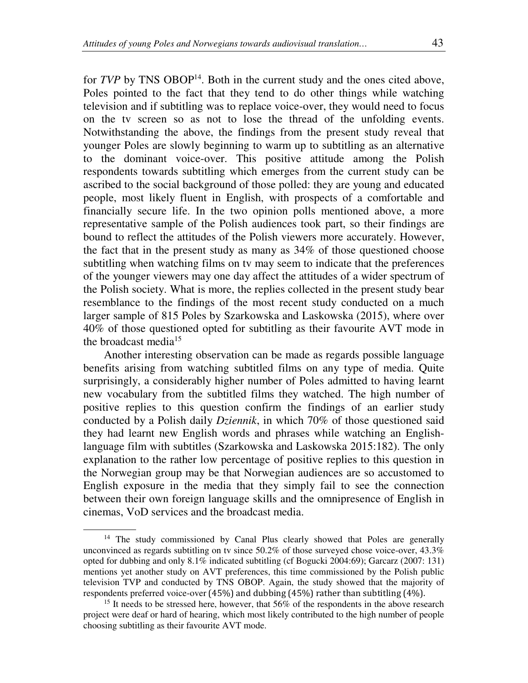for *TVP* by TNS OBOP<sup>14</sup>. Both in the current study and the ones cited above, Poles pointed to the fact that they tend to do other things while watching television and if subtitling was to replace voice-over, they would need to focus on the tv screen so as not to lose the thread of the unfolding events. Notwithstanding the above, the findings from the present study reveal that younger Poles are slowly beginning to warm up to subtitling as an alternative to the dominant voice-over. This positive attitude among the Polish respondents towards subtitling which emerges from the current study can be ascribed to the social background of those polled: they are young and educated people, most likely fluent in English, with prospects of a comfortable and financially secure life. In the two opinion polls mentioned above, a more representative sample of the Polish audiences took part, so their findings are bound to reflect the attitudes of the Polish viewers more accurately. However, the fact that in the present study as many as 34% of those questioned choose subtitling when watching films on tv may seem to indicate that the preferences of the younger viewers may one day affect the attitudes of a wider spectrum of the Polish society. What is more, the replies collected in the present study bear resemblance to the findings of the most recent study conducted on a much larger sample of 815 Poles by Szarkowska and Laskowska (2015), where over 40% of those questioned opted for subtitling as their favourite AVT mode in the broadcast media<sup>15</sup>

Another interesting observation can be made as regards possible language benefits arising from watching subtitled films on any type of media. Quite surprisingly, a considerably higher number of Poles admitted to having learnt new vocabulary from the subtitled films they watched. The high number of positive replies to this question confirm the findings of an earlier study conducted by a Polish daily *Dziennik*, in which 70% of those questioned said they had learnt new English words and phrases while watching an Englishlanguage film with subtitles (Szarkowska and Laskowska 2015:182). The only explanation to the rather low percentage of positive replies to this question in the Norwegian group may be that Norwegian audiences are so accustomed to English exposure in the media that they simply fail to see the connection between their own foreign language skills and the omnipresence of English in cinemas, VoD services and the broadcast media.

<sup>&</sup>lt;sup>14</sup> The study commissioned by Canal Plus clearly showed that Poles are generally unconvinced as regards subtitling on tv since 50.2% of those surveyed chose voice-over, 43.3% opted for dubbing and only 8.1% indicated subtitling (cf Bogucki 2004:69); Garcarz (2007: 131) mentions yet another study on AVT preferences, this time commissioned by the Polish public television TVP and conducted by TNS OBOP. Again, the study showed that the majority of respondents preferred voice-over (45%) and dubbing (45%) rather than subtitling (4%).

<sup>15</sup> It needs to be stressed here, however, that 56% of the respondents in the above research project were deaf or hard of hearing, which most likely contributed to the high number of people choosing subtitling as their favourite AVT mode.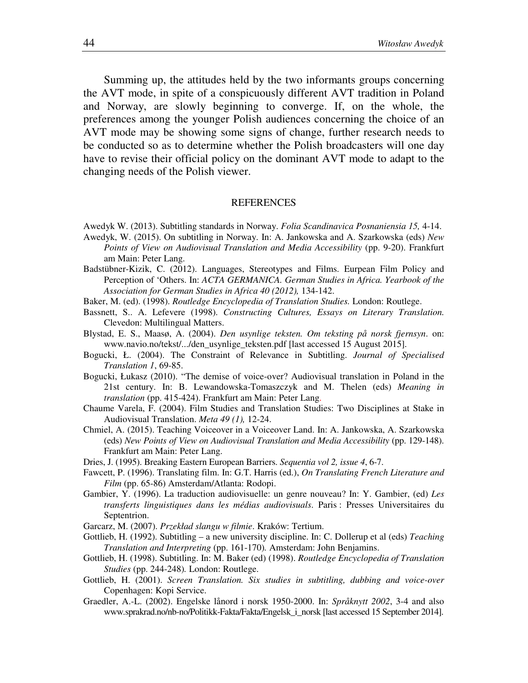Summing up, the attitudes held by the two informants groups concerning the AVT mode, in spite of a conspicuously different AVT tradition in Poland and Norway, are slowly beginning to converge. If, on the whole, the preferences among the younger Polish audiences concerning the choice of an AVT mode may be showing some signs of change, further research needs to be conducted so as to determine whether the Polish broadcasters will one day have to revise their official policy on the dominant AVT mode to adapt to the changing needs of the Polish viewer.

#### REFERENCES

- Awedyk W. (2013). Subtitling standards in Norway. *Folia Scandinavica Posnaniensia 15,* 4-14.
- Awedyk, W. (2015). On subtitling in Norway. In: A. Jankowska and A. Szarkowska (eds) *New Points of View on Audiovisual Translation and Media Accessibility (pp. 9-20). Frankfurt* am Main: Peter Lang.
- Badstübner-Kizik, C. (2012). Languages, Stereotypes and Films. Eurpean Film Policy and Perception of 'Others. In: *ACTA GERMANICA. German Studies in Africa. Yearbook of the Association for German Studies in Africa 40 (2012),* 134-142.
- Baker, M. (ed). (1998). *Routledge Encyclopedia of Translation Studies.* London: Routlege.
- Bassnett, S.. A. Lefevere (1998). *Constructing Cultures, Essays on Literary Translation.* Clevedon: Multilingual Matters.
- Blystad, E. S., Maasø, A. (2004). *Den usynlige teksten. Om teksting på norsk fjernsyn*. on: www.navio.no/tekst/.../den\_usynlige\_teksten.pdf [last accessed 15 August 2015].
- Bogucki, Ł. (2004). The Constraint of Relevance in Subtitling. *Journal of Specialised Translation 1*, 69-85.
- Bogucki, Łukasz (2010). "The demise of voice-over? Audiovisual translation in Poland in the 21st century. In: B. Lewandowska-Tomaszczyk and M. Thelen (eds) *Meaning in translation* (pp. 415-424). Frankfurt am Main: Peter Lang.
- Chaume Varela, F. (2004). Film Studies and Translation Studies: Two Disciplines at Stake in Audiovisual Translation. *Meta 49 (1),* 12-24.
- Chmiel, A. (2015). Teaching Voiceover in a Voiceover Land. In: A. Jankowska, A. Szarkowska (eds) *New Points of View on Audiovisual Translation and Media Accessibility* (pp. 129-148). Frankfurt am Main: Peter Lang.
- Dries, J. (1995). Breaking Eastern European Barriers. *Sequentia vol 2, issue 4*, 6-7.
- Fawcett, P. (1996). Translating film. In: G.T. Harris (ed.), *On Translating French Literature and Film* (pp. 65-86) Amsterdam/Atlanta: Rodopi.
- Gambier, Y. (1996). La traduction audiovisuelle: un genre nouveau? In: Y. Gambier, (ed) *Les transferts linguistiques dans les médias audiovisuals*. Paris : Presses Universitaires du Septentrion.
- Garcarz, M. (2007). *Przekład slangu w filmie*. Kraków: Tertium.
- Gottlieb, H. (1992). Subtitling a new university discipline. In: C. Dollerup et al (eds) *Teaching Translation and Interpreting* (pp. 161-170)*.* Amsterdam: John Benjamins.
- Gottlieb, H. (1998). Subtitling. In: M. Baker (ed) (1998). *Routledge Encyclopedia of Translation Studies* (pp. 244-248)*.* London: Routlege.
- Gottlieb, H. (2001). *Screen Translation. Six studies in subtitling, dubbing and voice-over* Copenhagen: Kopi Service.
- Graedler, A.-L. (2002). Engelske lånord i norsk 1950-2000. In: *Språknytt 2002*, 3-4 and also www.sprakrad.no/nb-no/Politikk-Fakta/Fakta/Engelsk\_i\_norsk [last accessed 15 September 2014].